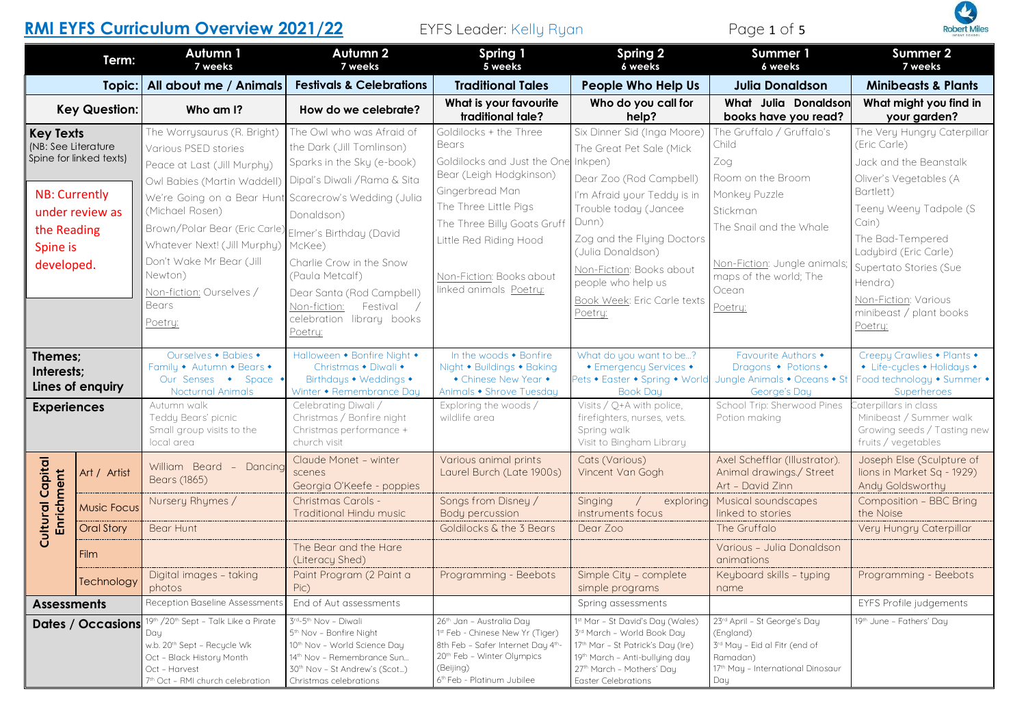# **RMI EYFS Curriculum Overview 2021/22 EYFS Leader: Kelly Ryan Page 1 of 5**



| <b>Robert Miles</b> |  |  |  |  |  |
|---------------------|--|--|--|--|--|

|                                                                                                                                                        | Term:                    | Autumn 1<br>7 weeks                                                                                                                                                                                                                                                                                                                                                                                                                                                                                                                                                                                                                                                                     | Autumn 2<br>7 weeks                                                                                                                                                                                                                                                | Spring 1<br>5 weeks                                                                                                                                                                                                                                                                                       | Spring 2<br>6 weeks                                                                                                                                                                                           | <b>Summer 1</b><br>6 weeks                                                                                                                                                                                                                                                                      | Summer 2<br>7 weeks                                                                                                                                                                                             |
|--------------------------------------------------------------------------------------------------------------------------------------------------------|--------------------------|-----------------------------------------------------------------------------------------------------------------------------------------------------------------------------------------------------------------------------------------------------------------------------------------------------------------------------------------------------------------------------------------------------------------------------------------------------------------------------------------------------------------------------------------------------------------------------------------------------------------------------------------------------------------------------------------|--------------------------------------------------------------------------------------------------------------------------------------------------------------------------------------------------------------------------------------------------------------------|-----------------------------------------------------------------------------------------------------------------------------------------------------------------------------------------------------------------------------------------------------------------------------------------------------------|---------------------------------------------------------------------------------------------------------------------------------------------------------------------------------------------------------------|-------------------------------------------------------------------------------------------------------------------------------------------------------------------------------------------------------------------------------------------------------------------------------------------------|-----------------------------------------------------------------------------------------------------------------------------------------------------------------------------------------------------------------|
|                                                                                                                                                        | Topic:                   | All about me / Animals                                                                                                                                                                                                                                                                                                                                                                                                                                                                                                                                                                                                                                                                  | <b>Festivals &amp; Celebrations</b>                                                                                                                                                                                                                                | <b>Traditional Tales</b>                                                                                                                                                                                                                                                                                  | <b>People Who Help Us</b>                                                                                                                                                                                     | <b>Julia Donaldson</b>                                                                                                                                                                                                                                                                          | <b>Minibeasts &amp; Plants</b>                                                                                                                                                                                  |
|                                                                                                                                                        | <b>Key Question:</b>     | Who am I?                                                                                                                                                                                                                                                                                                                                                                                                                                                                                                                                                                                                                                                                               | How do we celebrate?                                                                                                                                                                                                                                               | What is your favourite<br>traditional tale?                                                                                                                                                                                                                                                               | Who do you call for<br>help?                                                                                                                                                                                  | What Julia Donaldson<br>books have you read?                                                                                                                                                                                                                                                    | What might you find in<br>your garden?                                                                                                                                                                          |
| <b>Key Texts</b><br>(NB: See Literature<br>Spine for linked texts)<br><b>NB: Currently</b><br>under review as<br>the Reading<br>Spine is<br>developed. |                          | The Owl who was Afraid of<br>The Worrysaurus (R. Bright)<br>the Dark (Jill Tomlinson)<br>Various PSED stories<br>Sparks in the Sky (e-book)<br>Peace at Last (Jill Murphy)<br>Dipal's Diwali / Rama & Sita<br>Owl Babies (Martin Waddell)<br>We're Going on a Bear Hunt Scarecrow's Wedding (Julia<br>(Michael Rosen)<br>Donaldson)<br>Brown/Polar Bear (Eric Carle)<br>Elmer's Birthday (David<br>Whatever Next! (Jill Murphy)<br>McKee)<br>Don't Wake Mr Bear (Jill<br>Charlie Crow in the Snow<br>Newton)<br>(Paula Metcalf)<br>Non-fiction: Ourselves /<br>Dear Santa (Rod Campbell)<br><b>Bears</b><br>Non-fiction:<br>Festival<br>celebration library books<br>Poetry:<br>Poetry: | Goldilocks + the Three<br><b>Bears</b><br>Goldilocks and Just the One Inkpen)<br>Bear (Leigh Hodgkinson)<br>Gingerbread Man<br>The Three Little Pigs<br>The Three Billy Goats Gruf<br>Little Red Riding Hood<br>Non-Fiction: Books about<br>linked animals Poetry: | Six Dinner Sid (Inga Moore)<br>The Great Pet Sale (Mick<br>Dear Zoo (Rod Campbell)<br>I'm Afraid your Teddy is in<br>Trouble today (Jancee<br>Dunn)<br>Zog and the Flying Doctors<br>(Julia Donaldson)<br>Non-Fiction: Books about<br>people who help us<br><b>Book Week: Eric Carle texts</b><br>Poetry: | The Gruffalo / Gruffalo's<br>Child<br>Zog<br>Room on the Broom<br>Monkey Puzzle<br>Stickman<br>The Snail and the Whale<br>Non-Fiction: Jungle animals;<br>maps of the world; The<br>Ocean<br>Poetry:          | The Very Hungry Caterpillar<br>(Eric Carle)<br>Jack and the Beanstalk<br>Oliver's Vegetables (A<br>Bartlett)<br>Teeny Weeny Tadpole (S<br>Cain)<br>The Bad-Tempered<br>Ladybird (Eric Carle)<br>Supertato Stories (Sue<br>Hendra)<br>Non-Fiction: Various<br>minibeast / plant books<br>Poetry: |                                                                                                                                                                                                                 |
| Themes;<br>Interests;<br><b>Experiences</b>                                                                                                            | Lines of enquiry         | Ourselves • Babies •<br>Family • Autumn • Bears •<br>Our Senses • Space •<br><b>Nocturnal Animals</b><br>Autumn walk<br>Teddy Bears' picnic<br>Small group visits to the<br>local area                                                                                                                                                                                                                                                                                                                                                                                                                                                                                                  | Halloween • Bonfire Night •<br>Christmas • Diwali •<br>Birthdays • Weddings •<br>Winter • Remembrance Day<br>Celebrating Diwali /<br>Christmas / Bonfire night<br>Christmas performance +<br>church visit                                                          | In the woods • Bonfire<br>Night • Buildings • Baking<br>• Chinese New Year •<br>Animals • Shrove Tuesday<br>Exploring the woods /<br>wildlife area                                                                                                                                                        | What do you want to be?<br>• Emergency Services •<br>Pets • Easter • Spring • World<br><b>Book Day</b><br>Visits / Q+A with police,<br>firefighters, nurses, vets.<br>Spring walk<br>Visit to Bingham Library | Favourite Authors •<br>Dragons • Potions •<br>Jungle Animals • Oceans • St<br>George's Day<br>School Trip: Sherwood Pines<br>Potion making                                                                                                                                                      | Creepy Crawlies • Plants •<br>• Life-cycles • Holidays •<br>Food technology • Summer •<br>Superheroes<br>Caterpillars in class<br>Minibeast / Summer walk<br>Growing seeds / Tasting new<br>fruits / vegetables |
| Capital                                                                                                                                                | Art / Artist             | William Beard - Dancing<br>Bears (1865)                                                                                                                                                                                                                                                                                                                                                                                                                                                                                                                                                                                                                                                 | Claude Monet - winter<br>scenes<br>Georgia O'Keefe - poppies                                                                                                                                                                                                       | Various animal prints<br>Laurel Burch (Late 1900s)                                                                                                                                                                                                                                                        | Cats (Various)<br>Vincent Van Gogh                                                                                                                                                                            | Axel Schefflar (Illustrator).<br>Animal drawings./ Street<br>Art - David Zinn                                                                                                                                                                                                                   | Joseph Else (Sculpture of<br>lions in Market Sq - 1929)<br>Andy Goldsworthy                                                                                                                                     |
| Enrichment<br>Cultural                                                                                                                                 | <b>Music Focus</b>       | Nursery Rhymes /                                                                                                                                                                                                                                                                                                                                                                                                                                                                                                                                                                                                                                                                        | Christmas Carols -<br>Traditional Hindu music                                                                                                                                                                                                                      | Songs from Disney /<br>Body percussion                                                                                                                                                                                                                                                                    | Singing<br>exploring<br>instruments focus                                                                                                                                                                     | Musical soundscapes<br>linked to stories                                                                                                                                                                                                                                                        | Composition - BBC Bring<br>the Noise                                                                                                                                                                            |
|                                                                                                                                                        | <b>Oral Story</b>        | Bear Hunt                                                                                                                                                                                                                                                                                                                                                                                                                                                                                                                                                                                                                                                                               |                                                                                                                                                                                                                                                                    | Goldilocks & the 3 Bears                                                                                                                                                                                                                                                                                  | Dear Zoo                                                                                                                                                                                                      | The Gruffalo                                                                                                                                                                                                                                                                                    | Very Hungry Caterpillar                                                                                                                                                                                         |
|                                                                                                                                                        | Film                     |                                                                                                                                                                                                                                                                                                                                                                                                                                                                                                                                                                                                                                                                                         | The Bear and the Hare<br>(Literacy Shed)                                                                                                                                                                                                                           |                                                                                                                                                                                                                                                                                                           |                                                                                                                                                                                                               | Various - Julia Donaldson<br>animations                                                                                                                                                                                                                                                         |                                                                                                                                                                                                                 |
|                                                                                                                                                        | Technology               | Digital images - taking<br>photos                                                                                                                                                                                                                                                                                                                                                                                                                                                                                                                                                                                                                                                       | Paint Program (2 Paint a<br>Pic)                                                                                                                                                                                                                                   | Programming - Beebots                                                                                                                                                                                                                                                                                     | Simple City - complete<br>simple programs                                                                                                                                                                     | Keyboard skills - typing<br>name                                                                                                                                                                                                                                                                | Programming - Beebots                                                                                                                                                                                           |
| <b>Assessments</b>                                                                                                                                     |                          | Reception Baseline Assessments                                                                                                                                                                                                                                                                                                                                                                                                                                                                                                                                                                                                                                                          | End of Aut assessments                                                                                                                                                                                                                                             |                                                                                                                                                                                                                                                                                                           | Spring assessments                                                                                                                                                                                            |                                                                                                                                                                                                                                                                                                 | EYFS Profile judgements                                                                                                                                                                                         |
|                                                                                                                                                        | <b>Dates / Occasions</b> | 19th /20th Sept - Talk Like a Pirate<br>Day<br>w.b. 20 <sup>th</sup> Sept - Recycle Wk<br>Oct - Black History Month<br>Oct - Harvest<br>7th Oct - RMI church celebration                                                                                                                                                                                                                                                                                                                                                                                                                                                                                                                | 3rd-5th Nov - Diwali<br>5 <sup>th</sup> Nov - Bonfire Night<br>10th Nov - World Science Day<br>14 <sup>th</sup> Nov - Remembrance Sun<br>30 <sup>th</sup> Nov - St Andrew's (Scot)<br>Christmas celebrations                                                       | 26th Jan - Australia Day<br>1st Feb - Chinese New Yr (Tiger)<br>8th Feb - Safer Internet Day 4th-<br>20 <sup>th</sup> Feb - Winter Olympics<br>(Beijing)<br>6th Feb - Platinum Jubilee                                                                                                                    | 1st Mar - St David's Day (Wales)<br>3rd March - World Book Day<br>17 <sup>th</sup> Mar - St Patrick's Day (Ire)<br>19th March – Anti-bullying day<br>27th March - Mothers' Day<br>Easter Celebrations         | 23rd April - St George's Day<br>(England)<br>3rd May - Eid al Fitr (end of<br>Ramadan)<br>17 <sup>th</sup> May - International Dinosaur<br>Day                                                                                                                                                  | 19th June – Fathers' Day                                                                                                                                                                                        |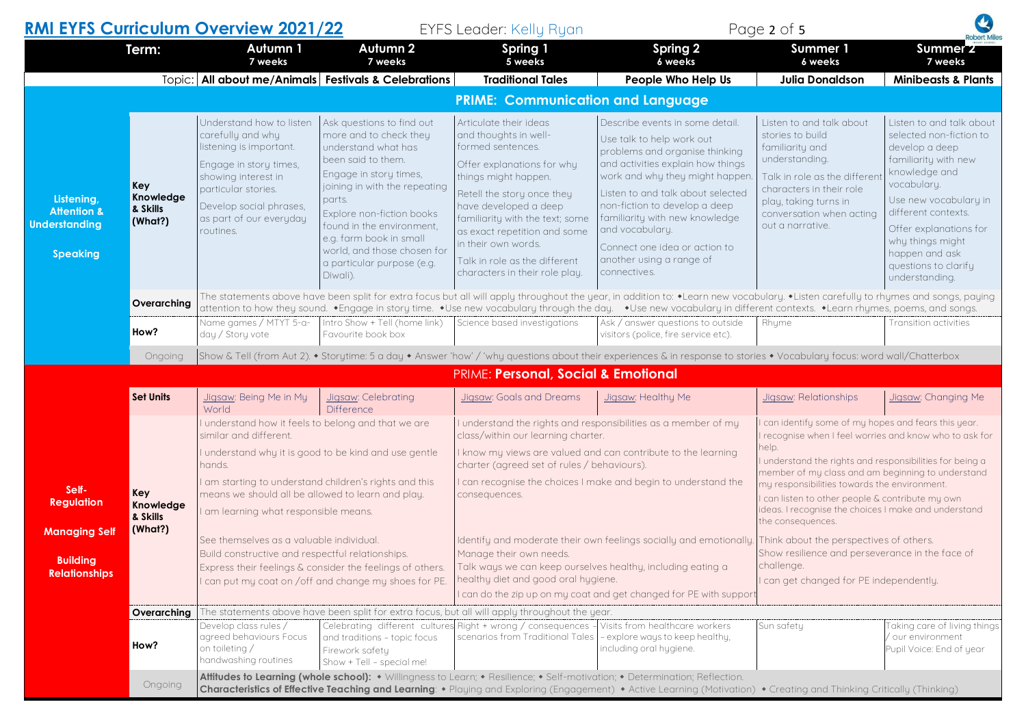|                                                                          |                                         | <b>RMI EYFS Curriculum Overview 2021/22</b>                                                                                                                                                                                                                                                            |                                                                                                                                                                                                                                                                                                                                     | <b>EYFS Leader: Kelly Ryan</b>                                                                                                                                                                                                                                                                                                                 |                                                                                                                                                                                                                                                                                                                                                                               | Page 2 of 5                                                                                                                                                                                                                                                                                                                                                                                                                                                                                                                            | <b>Robert Miles</b>                                                                                                                                                                                                                                                                     |
|--------------------------------------------------------------------------|-----------------------------------------|--------------------------------------------------------------------------------------------------------------------------------------------------------------------------------------------------------------------------------------------------------------------------------------------------------|-------------------------------------------------------------------------------------------------------------------------------------------------------------------------------------------------------------------------------------------------------------------------------------------------------------------------------------|------------------------------------------------------------------------------------------------------------------------------------------------------------------------------------------------------------------------------------------------------------------------------------------------------------------------------------------------|-------------------------------------------------------------------------------------------------------------------------------------------------------------------------------------------------------------------------------------------------------------------------------------------------------------------------------------------------------------------------------|----------------------------------------------------------------------------------------------------------------------------------------------------------------------------------------------------------------------------------------------------------------------------------------------------------------------------------------------------------------------------------------------------------------------------------------------------------------------------------------------------------------------------------------|-----------------------------------------------------------------------------------------------------------------------------------------------------------------------------------------------------------------------------------------------------------------------------------------|
|                                                                          | Term:                                   | Autumn 1<br>7 weeks                                                                                                                                                                                                                                                                                    | Autumn 2<br>7 weeks                                                                                                                                                                                                                                                                                                                 | Spring 1<br>5 weeks                                                                                                                                                                                                                                                                                                                            | <b>Spring 2</b><br>6 weeks                                                                                                                                                                                                                                                                                                                                                    | Summer 1<br>6 weeks                                                                                                                                                                                                                                                                                                                                                                                                                                                                                                                    | Summer <sub>2</sub><br>7 weeks                                                                                                                                                                                                                                                          |
|                                                                          |                                         |                                                                                                                                                                                                                                                                                                        | Topic:   All about me/Animals   Festivals & Celebrations                                                                                                                                                                                                                                                                            | <b>Traditional Tales</b>                                                                                                                                                                                                                                                                                                                       | People Who Help Us                                                                                                                                                                                                                                                                                                                                                            | <b>Julia Donaldson</b>                                                                                                                                                                                                                                                                                                                                                                                                                                                                                                                 | <b>Minibeasts &amp; Plants</b>                                                                                                                                                                                                                                                          |
|                                                                          |                                         |                                                                                                                                                                                                                                                                                                        |                                                                                                                                                                                                                                                                                                                                     | <b>PRIME: Communication and Language</b>                                                                                                                                                                                                                                                                                                       |                                                                                                                                                                                                                                                                                                                                                                               |                                                                                                                                                                                                                                                                                                                                                                                                                                                                                                                                        |                                                                                                                                                                                                                                                                                         |
| Listening,<br><b>Attention &amp;</b><br><b>Understanding</b><br>Speaking | Key<br>Knowledge<br>& Skills<br>(What?) | Understand how to listen<br>carefully and why<br>listening is important.<br>Engage in story times,<br>showing interest in<br>particular stories.<br>Develop social phrases,<br>as part of our everyday<br>routines.                                                                                    | Ask questions to find out<br>more and to check they<br>understand what has<br>been said to them.<br>Engage in story times,<br>joining in with the repeating<br>parts.<br>Explore non-fiction books<br>found in the environment,<br>e.g. farm book in small<br>world, and those chosen for<br>a particular purpose (e.g.<br>Diwali). | Articulate their ideas<br>and thoughts in well-<br>formed sentences.<br>Offer explanations for why<br>things might happen.<br>Retell the story once they<br>have developed a deep<br>familiarity with the text; some<br>as exact repetition and some<br>in their own words.<br>Talk in role as the different<br>characters in their role play. | Describe events in some detail.<br>Use talk to help work out<br>problems and organise thinking<br>and activities explain how things<br>work and why they might happen<br>Listen to and talk about selected<br>non-fiction to develop a deep<br>familiarity with new knowledge<br>and vocabulary.<br>Connect one idea or action to<br>another using a range of<br>connectives. | Listen to and talk about<br>stories to build<br>familiarity and<br>understanding.<br>Talk in role as the differen<br>characters in their role<br>play, taking turns in<br>conversation when acting<br>out a narrative.                                                                                                                                                                                                                                                                                                                 | Listen to and talk about<br>selected non-fiction to<br>develop a deep<br>familiarity with new<br>knowledge and<br>vocabulary.<br>Use new vocabulary in<br>different contexts.<br>Offer explanations for<br>why things might<br>happen and ask<br>questions to clarify<br>understanding. |
|                                                                          | Overarching                             |                                                                                                                                                                                                                                                                                                        |                                                                                                                                                                                                                                                                                                                                     |                                                                                                                                                                                                                                                                                                                                                | The statements above have been split for extra focus but all will apply throughout the year, in addition to: ◆Learn new vocabulary. ◆Listen carefully to rhymes and songs, paying<br>attention to how they sound. •Engage in story time. •Use new vocabulary through the day. •Use new vocabulary in different contexts. •Learn rhymes, poems, and songs.                     |                                                                                                                                                                                                                                                                                                                                                                                                                                                                                                                                        |                                                                                                                                                                                                                                                                                         |
|                                                                          | How?                                    | Name games / MTYT 5-a-<br>day / Story vote                                                                                                                                                                                                                                                             | Intro Show + Tell (home link)<br>Favourite book box                                                                                                                                                                                                                                                                                 | Science based investigations                                                                                                                                                                                                                                                                                                                   | Ask / answer questions to outside<br>visitors (police, fire service etc).                                                                                                                                                                                                                                                                                                     | Rhyme                                                                                                                                                                                                                                                                                                                                                                                                                                                                                                                                  | Transition activities                                                                                                                                                                                                                                                                   |
|                                                                          | Ongoing                                 |                                                                                                                                                                                                                                                                                                        |                                                                                                                                                                                                                                                                                                                                     |                                                                                                                                                                                                                                                                                                                                                | Show & Tell (from Aut 2). • Storytime: 5 a day • Answer 'how' / 'why questions about their experiences & in response to stories • Vocabulary focus: word wall/Chatterbox                                                                                                                                                                                                      |                                                                                                                                                                                                                                                                                                                                                                                                                                                                                                                                        |                                                                                                                                                                                                                                                                                         |
|                                                                          | PRIME: Personal, Social & Emotional     |                                                                                                                                                                                                                                                                                                        |                                                                                                                                                                                                                                                                                                                                     |                                                                                                                                                                                                                                                                                                                                                |                                                                                                                                                                                                                                                                                                                                                                               |                                                                                                                                                                                                                                                                                                                                                                                                                                                                                                                                        |                                                                                                                                                                                                                                                                                         |
|                                                                          | <b>Set Units</b>                        | Jigsaw: Being Me in My<br>World                                                                                                                                                                                                                                                                        | Jigsaw: Celebrating<br><b>Difference</b>                                                                                                                                                                                                                                                                                            | Jigsaw: Goals and Dreams                                                                                                                                                                                                                                                                                                                       | Jigsaw: Healthy Me                                                                                                                                                                                                                                                                                                                                                            | Jigsaw: Relationships                                                                                                                                                                                                                                                                                                                                                                                                                                                                                                                  | Jigsaw: Changing Me                                                                                                                                                                                                                                                                     |
| Self-<br><b>Regulation</b><br><b>Managing Self</b>                       | Key<br>Knowledge<br>& Skills<br>(What?) | I understand how it feels to belong and that we are<br>similar and different.<br>I understand why it is good to be kind and use gentle<br>hands.<br>I am starting to understand children's rights and this<br>means we should all be allowed to learn and play.<br>am learning what responsible means. |                                                                                                                                                                                                                                                                                                                                     | I understand the rights and responsibilities as a member of my<br>class/within our learning charter.<br>I know my views are valued and can contribute to the learning<br>charter (agreed set of rules / behaviours).<br>I can recognise the choices I make and begin to understand the<br>consequences.                                        |                                                                                                                                                                                                                                                                                                                                                                               | I can identify some of my hopes and fears this year.<br>I recognise when I feel worries and know who to ask for<br>help.<br>I understand the rights and responsibilities for being a<br>member of my class and am beginning to understand<br>my responsibilities towards the environment.<br>I can listen to other people & contribute my own<br>ideas. I recognise the choices I make and understand<br>the consequences.<br>Show resilience and perseverance in the face of<br>challenge.<br>I can get changed for PE independently. |                                                                                                                                                                                                                                                                                         |
| <b>Building</b><br><b>Relationships</b>                                  |                                         | See themselves as a valuable individual.<br>Build constructive and respectful relationships.                                                                                                                                                                                                           | Express their feelings & consider the feelings of others.<br>I can put my coat on /off and change my shoes for PE.                                                                                                                                                                                                                  | Identify and moderate their own feelings socially and emotionally. Think about the perspectives of others.<br>Manage their own needs.<br>Talk ways we can keep ourselves healthy, including eating a<br>healthy diet and good oral hygiene.<br>I can do the zip up on my coat and get changed for PE with support                              |                                                                                                                                                                                                                                                                                                                                                                               |                                                                                                                                                                                                                                                                                                                                                                                                                                                                                                                                        |                                                                                                                                                                                                                                                                                         |
|                                                                          | Overarching                             |                                                                                                                                                                                                                                                                                                        |                                                                                                                                                                                                                                                                                                                                     | The statements above have been split for extra focus, but all will apply throughout the year.                                                                                                                                                                                                                                                  |                                                                                                                                                                                                                                                                                                                                                                               |                                                                                                                                                                                                                                                                                                                                                                                                                                                                                                                                        |                                                                                                                                                                                                                                                                                         |
|                                                                          | How?                                    | Develop class rules /<br>agreed behaviours Focus<br>on toileting /<br>handwashing routines                                                                                                                                                                                                             | and traditions - topic focus<br>Firework safety<br>Show + Tell - special me!                                                                                                                                                                                                                                                        | Celebrating different cultures Right + wrong / consequences<br>scenarios from Traditional Tales                                                                                                                                                                                                                                                | Visits from healthcare workers<br>- explore ways to keep healthy,<br>including oral hygiene.                                                                                                                                                                                                                                                                                  | Sun safety                                                                                                                                                                                                                                                                                                                                                                                                                                                                                                                             | Taking care of living things<br>/ our environment<br>Pupil Voice: End of year                                                                                                                                                                                                           |
|                                                                          | Ongoing                                 |                                                                                                                                                                                                                                                                                                        |                                                                                                                                                                                                                                                                                                                                     |                                                                                                                                                                                                                                                                                                                                                | Attitudes to Learning (whole school): • Willingness to Learn; • Resilience; • Self-motivation; • Determination; Reflection.<br>Characteristics of Effective Teaching and Learning: • Playing and Exploring (Engagement) • Active Learning (Motivation) • Creating and Thinking Critically (Thinking)                                                                          |                                                                                                                                                                                                                                                                                                                                                                                                                                                                                                                                        |                                                                                                                                                                                                                                                                                         |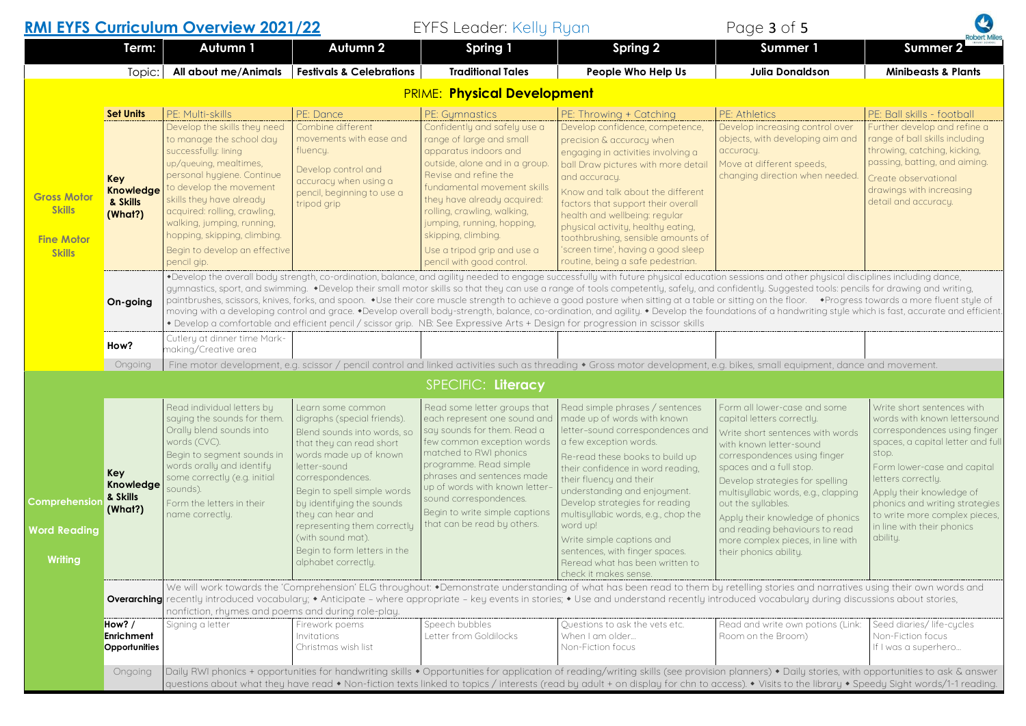## **RMI EYFS Curriculum Overview 2021/22** FYFS Leader: Kelly Ryan

| Page 3 of 5 |  |  |  |  |  |  |  |
|-------------|--|--|--|--|--|--|--|
|-------------|--|--|--|--|--|--|--|

A

|                                                                           | Term:                                                              | Autumn 1                                                                                                                                                                                                                                                                                                                                                                                                                                                                                                                                                                                                                                                                                                                                                                                                                                                                                                                                                    | Autumn 2                                                                                                                                                                                                                                                                                                                                                              | Spring 1                                                                                                                                                                                                                                                                                                                                                                     | Spring 2                                                                                                                                                                                                                                                                                                                                                                                                                                                                        | <b>Summer 1</b>                                                                                                                                                                                                                                                                                                                                                                                                           | <b>Robert Miles</b><br><b>Summer 2</b>                                                                                                                                                                                                                                                                                                 |  |  |
|---------------------------------------------------------------------------|--------------------------------------------------------------------|-------------------------------------------------------------------------------------------------------------------------------------------------------------------------------------------------------------------------------------------------------------------------------------------------------------------------------------------------------------------------------------------------------------------------------------------------------------------------------------------------------------------------------------------------------------------------------------------------------------------------------------------------------------------------------------------------------------------------------------------------------------------------------------------------------------------------------------------------------------------------------------------------------------------------------------------------------------|-----------------------------------------------------------------------------------------------------------------------------------------------------------------------------------------------------------------------------------------------------------------------------------------------------------------------------------------------------------------------|------------------------------------------------------------------------------------------------------------------------------------------------------------------------------------------------------------------------------------------------------------------------------------------------------------------------------------------------------------------------------|---------------------------------------------------------------------------------------------------------------------------------------------------------------------------------------------------------------------------------------------------------------------------------------------------------------------------------------------------------------------------------------------------------------------------------------------------------------------------------|---------------------------------------------------------------------------------------------------------------------------------------------------------------------------------------------------------------------------------------------------------------------------------------------------------------------------------------------------------------------------------------------------------------------------|----------------------------------------------------------------------------------------------------------------------------------------------------------------------------------------------------------------------------------------------------------------------------------------------------------------------------------------|--|--|
|                                                                           | Topic:                                                             | All about me/Animals                                                                                                                                                                                                                                                                                                                                                                                                                                                                                                                                                                                                                                                                                                                                                                                                                                                                                                                                        | <b>Festivals &amp; Celebrations</b>                                                                                                                                                                                                                                                                                                                                   | <b>Traditional Tales</b>                                                                                                                                                                                                                                                                                                                                                     | People Who Help Us                                                                                                                                                                                                                                                                                                                                                                                                                                                              | <b>Julia Donaldson</b>                                                                                                                                                                                                                                                                                                                                                                                                    | <b>Minibeasts &amp; Plants</b>                                                                                                                                                                                                                                                                                                         |  |  |
|                                                                           |                                                                    |                                                                                                                                                                                                                                                                                                                                                                                                                                                                                                                                                                                                                                                                                                                                                                                                                                                                                                                                                             |                                                                                                                                                                                                                                                                                                                                                                       | <b>PRIME: Physical Development</b>                                                                                                                                                                                                                                                                                                                                           |                                                                                                                                                                                                                                                                                                                                                                                                                                                                                 |                                                                                                                                                                                                                                                                                                                                                                                                                           |                                                                                                                                                                                                                                                                                                                                        |  |  |
|                                                                           |                                                                    |                                                                                                                                                                                                                                                                                                                                                                                                                                                                                                                                                                                                                                                                                                                                                                                                                                                                                                                                                             |                                                                                                                                                                                                                                                                                                                                                                       |                                                                                                                                                                                                                                                                                                                                                                              |                                                                                                                                                                                                                                                                                                                                                                                                                                                                                 |                                                                                                                                                                                                                                                                                                                                                                                                                           |                                                                                                                                                                                                                                                                                                                                        |  |  |
| <b>Gross Motor</b><br><b>Skills</b><br><b>Fine Motor</b><br><b>Skills</b> | <b>Set Units</b><br><b>Key</b><br>Knowledge<br>& Skills<br>(What?) | PE: Multi-skills<br>Develop the skills they need<br>to manage the school day<br>successfully: lining<br>up/queuing, mealtimes,<br>personal hygiene. Continue<br>to develop the movement<br>skills they have already<br>acquired: rolling, crawling,<br>walking, jumping, running,<br>hopping, skipping, climbing.<br>Begin to develop an effective<br>pencil gip.                                                                                                                                                                                                                                                                                                                                                                                                                                                                                                                                                                                           | PE: Dance<br>Combine different<br>movements with ease and<br>fluency.<br>Develop control and<br>accuracy when using a<br>pencil, beginning to use a<br>tripod grip                                                                                                                                                                                                    | PE: Gymnastics<br>Confidently and safely use a<br>range of large and small<br>apparatus indoors and<br>outside, alone and in a group.<br>Revise and refine the<br>fundamental movement skills<br>they have already acquired:<br>rolling, crawling, walking,<br>jumping, running, hopping,<br>skipping, climbing.<br>Use a tripod grip and use a<br>pencil with good control. | PE: Throwing + Catching<br>Develop confidence, competence,<br>precision & accuracy when<br>engaging in activities involving a<br>ball Draw pictures with more detail<br>and accuracy.<br>Know and talk about the different<br>factors that support their overall<br>health and wellbeing: regular<br>physical activity, healthy eating,<br>toothbrushing, sensible amounts of<br>'screen time', having a good sleep<br>routine, being a safe pedestrian.                        | PE: Athletics<br>Develop increasing control over<br>objects, with developing aim and<br>accuracy.<br>Move at different speeds,<br>changing direction when needed                                                                                                                                                                                                                                                          | PE: Ball skills - football<br>Further develop and refine a<br>range of ball skills including<br>throwing, catching, kicking,<br>passing, batting, and aiming.<br>Create observational<br>drawings with increasing<br>detail and accuracy.                                                                                              |  |  |
|                                                                           | On-going                                                           | *Develop the overall body strength, co-ordination, balance, and agility needed to engage successfully with future physical education sessions and other physical disciplines including dance,<br>gymnastics, sport, and swimming. •Develop their small motor skills so that they can use a range of tools competently, safely, and confidently. Suggested tools: pencils for drawing and writing,<br>paintbrushes, scissors, knives, forks, and spoon. • Use their core muscle strength to achieve a good posture when sitting at a table or sitting on the floor. • Progress towards a more fluent style of<br>moving with a developing control and grace. •Develop overall body-strength, balance, co-ordination, and agility. • Develop the foundations of a handwriting style which is fast, accurate and efficient.<br>* Develop a comfortable and efficient pencil / scissor grip. NB: See Expressive Arts + Design for progression in scissor skills |                                                                                                                                                                                                                                                                                                                                                                       |                                                                                                                                                                                                                                                                                                                                                                              |                                                                                                                                                                                                                                                                                                                                                                                                                                                                                 |                                                                                                                                                                                                                                                                                                                                                                                                                           |                                                                                                                                                                                                                                                                                                                                        |  |  |
|                                                                           | How?                                                               | Cutlery at dinner time Mark-<br>making/Creative area                                                                                                                                                                                                                                                                                                                                                                                                                                                                                                                                                                                                                                                                                                                                                                                                                                                                                                        |                                                                                                                                                                                                                                                                                                                                                                       |                                                                                                                                                                                                                                                                                                                                                                              |                                                                                                                                                                                                                                                                                                                                                                                                                                                                                 |                                                                                                                                                                                                                                                                                                                                                                                                                           |                                                                                                                                                                                                                                                                                                                                        |  |  |
|                                                                           | Ongoing                                                            |                                                                                                                                                                                                                                                                                                                                                                                                                                                                                                                                                                                                                                                                                                                                                                                                                                                                                                                                                             |                                                                                                                                                                                                                                                                                                                                                                       |                                                                                                                                                                                                                                                                                                                                                                              | Fine motor development, e.g. scissor / pencil control and linked activities such as threading • Gross motor development, e.g. bikes, small equipment, dance and movement.                                                                                                                                                                                                                                                                                                       |                                                                                                                                                                                                                                                                                                                                                                                                                           |                                                                                                                                                                                                                                                                                                                                        |  |  |
|                                                                           |                                                                    |                                                                                                                                                                                                                                                                                                                                                                                                                                                                                                                                                                                                                                                                                                                                                                                                                                                                                                                                                             |                                                                                                                                                                                                                                                                                                                                                                       | SPECIFIC: Literacy                                                                                                                                                                                                                                                                                                                                                           |                                                                                                                                                                                                                                                                                                                                                                                                                                                                                 |                                                                                                                                                                                                                                                                                                                                                                                                                           |                                                                                                                                                                                                                                                                                                                                        |  |  |
| Comprehension<br><b>Word Reading</b><br><b>Writing</b>                    | Key<br>Knowledge<br>& Skills<br>(What?)                            | Read individual letters by<br>saying the sounds for them.<br>Orally blend sounds into<br>words (CVC).<br>Begin to segment sounds in<br>words orally and identify<br>some correctly (e.g. initial<br>sounds).<br>Form the letters in their<br>name correctly.                                                                                                                                                                                                                                                                                                                                                                                                                                                                                                                                                                                                                                                                                                | Learn some common<br>digraphs (special friends).<br>Blend sounds into words, so<br>that they can read short<br>words made up of known<br>letter-sound<br>correspondences.<br>Begin to spell simple words<br>by identifying the sounds<br>they can hear and<br>representing them correctly<br>(with sound mat).<br>Begin to form letters in the<br>alphabet correctly. | Read some letter groups that<br>each represent one sound and<br>say sounds for them. Read a<br>few common exception words<br>matched to RWI phonics<br>programme. Read simple<br>phrases and sentences made<br>up of words with known letter-<br>sound correspondences.<br>Begin to write simple captions<br>that can be read by others.                                     | Read simple phrases / sentences<br>made up of words with known<br>letter-sound correspondences and<br>a few exception words.<br>Re-read these books to build up<br>their confidence in word reading,<br>their fluency and their<br>understanding and enjoyment.<br>Develop strategies for reading<br>multisyllabic words, e.g., chop the<br>word up!<br>Write simple captions and<br>sentences, with finger spaces.<br>Reread what has been written to<br>check it makes sense. | Form all lower-case and some<br>capital letters correctly.<br>Write short sentences with words<br>with known letter-sound<br>correspondences using finger<br>spaces and a full stop.<br>Develop strategies for spelling<br>multisyllabic words, e.g., clapping<br>out the syllables.<br>Apply their knowledge of phonics<br>and reading behaviours to read<br>more complex pieces, in line with<br>their phonics ability. | Write short sentences with<br>words with known lettersound<br>correspondences using finger<br>spaces, a capital letter and full<br>stop.<br>Form lower-case and capital<br>letters correctly.<br>Apply their knowledge of<br>phonics and writing strategies<br>to write more complex pieces,<br>in line with their phonics<br>ability. |  |  |
|                                                                           |                                                                    | nonfiction, rhymes and poems and during role-play.                                                                                                                                                                                                                                                                                                                                                                                                                                                                                                                                                                                                                                                                                                                                                                                                                                                                                                          |                                                                                                                                                                                                                                                                                                                                                                       |                                                                                                                                                                                                                                                                                                                                                                              | We will work towards the 'Comprehension' ELG throughout: *Demonstrate understanding of what has been read to them by retelling stories and narratives using their own words and<br><b>Overarching</b> recently introduced vocabulary; • Anticipate - where appropriate - key events in stories; • Use and understand recently introduced vocabulary during discussions about stories,                                                                                           |                                                                                                                                                                                                                                                                                                                                                                                                                           |                                                                                                                                                                                                                                                                                                                                        |  |  |
|                                                                           | How? /<br><b>Enrichment</b><br>Opportunities                       | Signing a letter                                                                                                                                                                                                                                                                                                                                                                                                                                                                                                                                                                                                                                                                                                                                                                                                                                                                                                                                            | Firework poems<br>Invitations<br>Christmas wish list                                                                                                                                                                                                                                                                                                                  | Speech bubbles<br>Letter from Goldilocks                                                                                                                                                                                                                                                                                                                                     | Questions to ask the vets etc.<br>When I am older<br>Non-Fiction focus                                                                                                                                                                                                                                                                                                                                                                                                          | Read and write own potions (Link:<br>Room on the Broom)                                                                                                                                                                                                                                                                                                                                                                   | Seed diaries/life-cycles<br>Non-Fiction focus<br>If I was a superhero                                                                                                                                                                                                                                                                  |  |  |
|                                                                           | Ongoing                                                            |                                                                                                                                                                                                                                                                                                                                                                                                                                                                                                                                                                                                                                                                                                                                                                                                                                                                                                                                                             |                                                                                                                                                                                                                                                                                                                                                                       |                                                                                                                                                                                                                                                                                                                                                                              | Daily RWI phonics + opportunities for handwriting skills • Opportunities for application of reading/writing skills (see provision planners) • Daily stories, with opportunities to ask & answer<br>questions about what they have read • Non-fiction texts linked to topics / interests (read by adult + on display for chn to access). • Visits to the library • Speedy Sight words/1-1 reading.                                                                               |                                                                                                                                                                                                                                                                                                                                                                                                                           |                                                                                                                                                                                                                                                                                                                                        |  |  |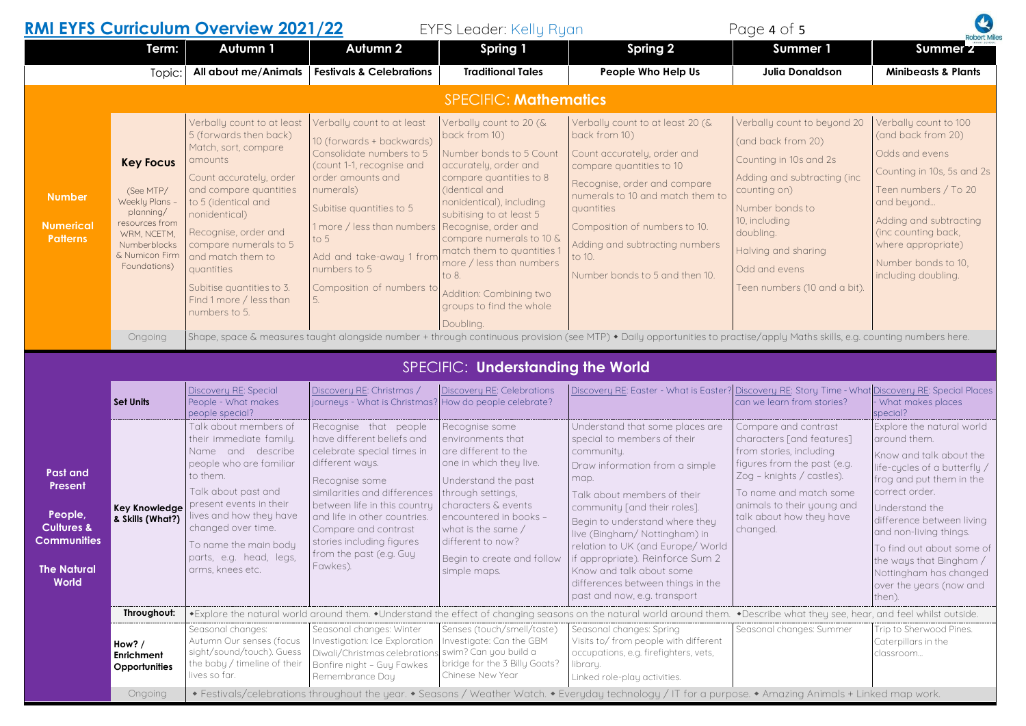## **RMI EYFS Curriculum Overview 2021/22** EYFS Leader: Kelly Ryan Page 4 of 5 **Term: Autumn 1 Autumn 2 Spring 1 Spring 2 Summer 1 Summer 2** Topic: **All about me/Animals Festivals & Celebrations Traditional Tales People Who Help Us Julia Donaldson Minibeasts & Plants Number Numerical Patterns** SPECIFIC: **Mathematics Key Focus**  (See MTP/ Weekly Plans – planning/ resources from WRM, NCETM, Numberblocks & Numicon Firm Foundations) Verbally count to at least 5 (forwards then back) Match, sort, compare amounts Count accurately, order and compare quantities to 5 (identical and nonidentical) Recognise, order and compare numerals to 5 and match them to quantities Subitise quantities to 3. Find 1 more / less than numbers to 5. Verbally count to at least 10 (forwards + backwards) Consolidate numbers to 5 (count 1-1, recognise and order amounts and numerals) Subitise quantities to 5 1 more / less than numbers to 5 Add and take-away 1 from numbers to 5 Composition of numbers to 5. Verbally count to 20 (& back from 10) Number bonds to 5 Count accurately, order and compare quantities to 8 (identical and nonidentical), including subitising to at least 5 Recognise, order and compare numerals to 10 & match them to quantities 1 more / less than numbers to 8. Addition: Combining two groups to find the whole Doubling. Verbally count to at least 20 (& back from 10) Count accurately, order and compare quantities to 10 Recognise, order and compare numerals to 10 and match them to quantities Composition of numbers to 10. Adding and subtracting numbers to 10. Number bonds to 5 and then 10. Verbally count to beyond 20 (and back from 20) Counting in 10s and 2s Adding and subtracting (inc counting on) Number bonds to 10, including doubling. Halving and sharing Odd and evens Teen numbers (10 and a bit). Verbally count to 100 (and back from 20) Odds and evens Counting in 10s, 5s and 2s Teen numbers / To 20 and beyond… Adding and subtracting (inc counting back, where appropriate) Number bonds to 10, including doubling. Ongoing Shape, space & measures taught alongside number + through continuous provision (see MTP) • Daily opportunities to practise/apply Maths skills, e.g. counting numbers here. **Past and Present People, Cultures & Communities The Natural World** SPECIFIC: **Understanding the World Set Units**  Discovery RE: Special People - What makes people special? Discovery RE: Christmas / journeys - What is Christmas? How do people celebrate? Discovery RE: Celebrations Discovery RE: Easter - What is Easter? can we learn from stories? Discovery RE: Story Time - What Discovery RE: Special Places What makes places special? **Key Knowledge & Skills (What?)** Talk about members of their immediate family. Name and describe people who are familiar to them. Talk about past and present events in their lives and how they have changed over time. To name the main body parts, e.g. head, legs, arms, knees etc. Recognise that people have different beliefs and celebrate special times in different ways. Recognise some similarities and differences between life in this country and life in other countries. Compare and contrast stories including figures from the past (e.g. Guy Fawkes). Recognise some environments that are different to the one in which they live. Understand the past through settings characters & events encountered in books – what is the same / different to now? Begin to create and follow simple maps. Understand that some places are special to members of their community. Draw information from a simple map. Talk about members of their community [and their roles]. Begin to understand where they live (Bingham/ Nottingham) in relation to UK (and Europe/ World if appropriate). Reinforce Sum 2 Know and talk about some differences between things in the past and now, e.g. transport Compare and contrast characters [and features] from stories, including figures from the past (e.g. Zog – knights / castles). To name and match some animals to their young and talk about how they have changed. Explore the natural world around them. Know and talk about the life-cycles of a butterfly / frog and put them in the correct order. Understand the difference between living and non-living things. To find out about some of the ways that Bingham / Nottingham has changed over the years (now and then). **Throughout:** |◆Explore the natural world around them. ◆Understand the effect of changing seasons on the natural world around them. ◆Describe what theu see, hear, and feel whilst outside. **How? / Enrichment Opportunities** Seasonal changes: Autumn Our senses (focus sight/sound/touch). Guess the baby / timeline of their lives so far. Seasonal changes: Winter Investigation: Ice Exploration Diwali/Christmas celebrations Bonfire night – Guy Fawkes Remembrance Day Senses (touch/smell/taste) Investigate: Can the GBM swim? Can you build a bridge for the 3 Billy Goats? Chinese New Year Seasonal changes: Spring Visits to/ from people with different occupations, e.g. firefighters, vets, libraru. Linked role-play activities. Seasonal changes: Summer Trip to Sherwood Pines. Caterpillars in the classroom…

Ongoing  $\bullet$  Festivals/celebrations throughout the year.  $\bullet$  Seasons / Weather Watch.  $\bullet$  Everyday technology / IT for a purpose.  $\bullet$  Amazing Animals + Linked map work.